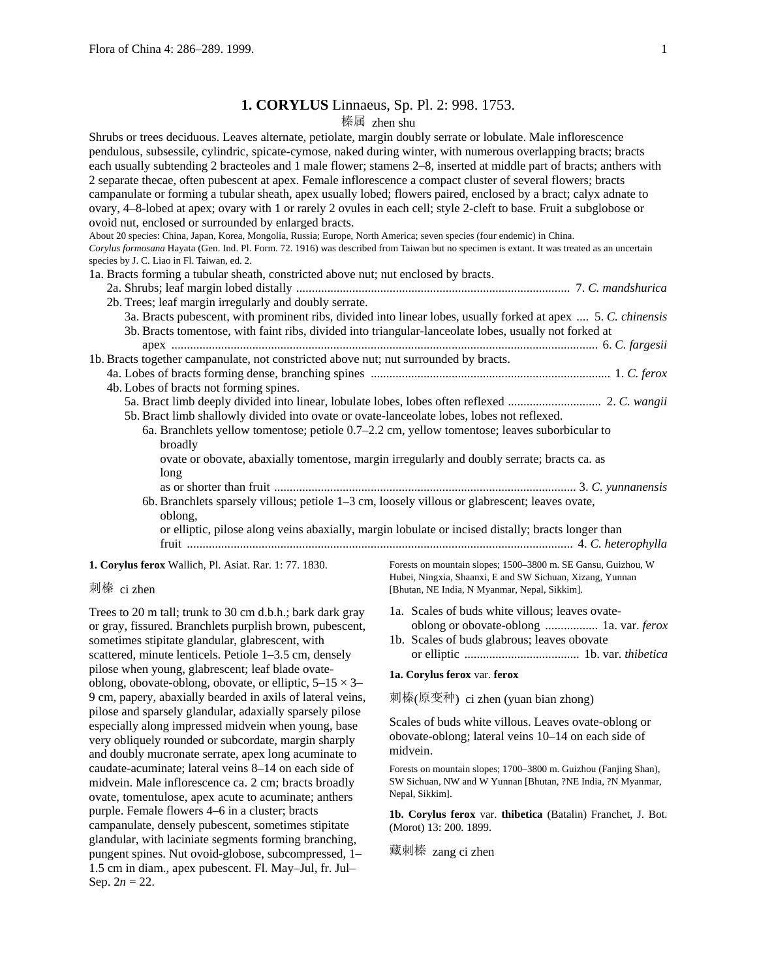# **1. CORYLUS** Linnaeus, Sp. Pl. 2: 998. 1753.

## 榛属 zhen shu

| Shrubs or trees deciduous. Leaves alternate, petiolate, margin doubly serrate or lobulate. Male inflorescence<br>pendulous, subsessile, cylindric, spicate-cymose, naked during winter, with numerous overlapping bracts; bracts<br>each usually subtending 2 bracteoles and 1 male flower; stamens 2–8, inserted at middle part of bracts; anthers with<br>2 separate thecae, often pubescent at apex. Female inflorescence a compact cluster of several flowers; bracts<br>campanulate or forming a tubular sheath, apex usually lobed; flowers paired, enclosed by a bract; calyx adnate to<br>ovary, 4-8-lobed at apex; ovary with 1 or rarely 2 ovules in each cell; style 2-cleft to base. Fruit a subglobose or<br>ovoid nut, enclosed or surrounded by enlarged bracts.<br>About 20 species: China, Japan, Korea, Mongolia, Russia; Europe, North America; seven species (four endemic) in China.<br>Corylus formosana Hayata (Gen. Ind. Pl. Form. 72. 1916) was described from Taiwan but no specimen is extant. It was treated as an uncertain<br>species by J. C. Liao in Fl. Taiwan, ed. 2.<br>1a. Bracts forming a tubular sheath, constricted above nut; nut enclosed by bracts.<br>2b. Trees; leaf margin irregularly and doubly serrate.<br>3a. Bracts pubescent, with prominent ribs, divided into linear lobes, usually forked at apex  5. C. chinensis<br>3b. Bracts tomentose, with faint ribs, divided into triangular-lanceolate lobes, usually not forked at |
|-------------------------------------------------------------------------------------------------------------------------------------------------------------------------------------------------------------------------------------------------------------------------------------------------------------------------------------------------------------------------------------------------------------------------------------------------------------------------------------------------------------------------------------------------------------------------------------------------------------------------------------------------------------------------------------------------------------------------------------------------------------------------------------------------------------------------------------------------------------------------------------------------------------------------------------------------------------------------------------------------------------------------------------------------------------------------------------------------------------------------------------------------------------------------------------------------------------------------------------------------------------------------------------------------------------------------------------------------------------------------------------------------------------------------------------------------------------------------------------|
|                                                                                                                                                                                                                                                                                                                                                                                                                                                                                                                                                                                                                                                                                                                                                                                                                                                                                                                                                                                                                                                                                                                                                                                                                                                                                                                                                                                                                                                                                     |
| 1b. Bracts together campanulate, not constricted above nut; nut surrounded by bracts.                                                                                                                                                                                                                                                                                                                                                                                                                                                                                                                                                                                                                                                                                                                                                                                                                                                                                                                                                                                                                                                                                                                                                                                                                                                                                                                                                                                               |
|                                                                                                                                                                                                                                                                                                                                                                                                                                                                                                                                                                                                                                                                                                                                                                                                                                                                                                                                                                                                                                                                                                                                                                                                                                                                                                                                                                                                                                                                                     |
| 4b. Lobes of bracts not forming spines.                                                                                                                                                                                                                                                                                                                                                                                                                                                                                                                                                                                                                                                                                                                                                                                                                                                                                                                                                                                                                                                                                                                                                                                                                                                                                                                                                                                                                                             |
| 5b. Bract limb shallowly divided into ovate or ovate-lanceolate lobes, lobes not reflexed.                                                                                                                                                                                                                                                                                                                                                                                                                                                                                                                                                                                                                                                                                                                                                                                                                                                                                                                                                                                                                                                                                                                                                                                                                                                                                                                                                                                          |
| 6a. Branchlets yellow tomentose; petiole 0.7–2.2 cm, yellow tomentose; leaves suborbicular to<br>broadly                                                                                                                                                                                                                                                                                                                                                                                                                                                                                                                                                                                                                                                                                                                                                                                                                                                                                                                                                                                                                                                                                                                                                                                                                                                                                                                                                                            |
| ovate or obovate, abaxially tomentose, margin irregularly and doubly serrate; bracts ca. as<br>long                                                                                                                                                                                                                                                                                                                                                                                                                                                                                                                                                                                                                                                                                                                                                                                                                                                                                                                                                                                                                                                                                                                                                                                                                                                                                                                                                                                 |
|                                                                                                                                                                                                                                                                                                                                                                                                                                                                                                                                                                                                                                                                                                                                                                                                                                                                                                                                                                                                                                                                                                                                                                                                                                                                                                                                                                                                                                                                                     |
| 6b. Branchlets sparsely villous; petiole $1-3$ cm, loosely villous or glabrescent; leaves ovate,<br>oblong,                                                                                                                                                                                                                                                                                                                                                                                                                                                                                                                                                                                                                                                                                                                                                                                                                                                                                                                                                                                                                                                                                                                                                                                                                                                                                                                                                                         |
| or elliptic, pilose along veins abaxially, margin lobulate or incised distally; bracts longer than                                                                                                                                                                                                                                                                                                                                                                                                                                                                                                                                                                                                                                                                                                                                                                                                                                                                                                                                                                                                                                                                                                                                                                                                                                                                                                                                                                                  |
|                                                                                                                                                                                                                                                                                                                                                                                                                                                                                                                                                                                                                                                                                                                                                                                                                                                                                                                                                                                                                                                                                                                                                                                                                                                                                                                                                                                                                                                                                     |
| <b>1. Corylus ferox Wallich, Pl. Asiat. Rar. 1: 77. 1830.</b><br>Forests on mountain slopes; 1500-3800 m. SE Gansu, Guizhou, W                                                                                                                                                                                                                                                                                                                                                                                                                                                                                                                                                                                                                                                                                                                                                                                                                                                                                                                                                                                                                                                                                                                                                                                                                                                                                                                                                      |

## 刺榛 ci zhen

Trees to 20 m tall; trunk to 30 cm d.b.h.; bark dark gray or gray, fissured. Branchlets purplish brown, pubescent, sometimes stipitate glandular, glabrescent, with scattered, minute lenticels. Petiole 1–3.5 cm, densely pilose when young, glabrescent; leaf blade ovateoblong, obovate-oblong, obovate, or elliptic,  $5-15 \times 3-$ 9 cm, papery, abaxially bearded in axils of lateral veins, pilose and sparsely glandular, adaxially sparsely pilose especially along impressed midvein when young, base very obliquely rounded or subcordate, margin sharply and doubly mucronate serrate, apex long acuminate to caudate-acuminate; lateral veins 8–14 on each side of midvein. Male inflorescence ca. 2 cm; bracts broadly ovate, tomentulose, apex acute to acuminate; anthers purple. Female flowers 4–6 in a cluster; bracts campanulate, densely pubescent, sometimes stipitate glandular, with laciniate segments forming branching, pungent spines. Nut ovoid-globose, subcompressed, 1– 1.5 cm in diam., apex pubescent. Fl. May–Jul, fr. Jul– Sep.  $2n = 22$ .

Hubei, Ningxia, Shaanxi, E and SW Sichuan, Xizang, Yunnan [Bhutan, NE India, N Myanmar, Nepal, Sikkim].

- 1a. Scales of buds white villous; leaves ovateoblong or obovate-oblong ................. 1a. var. *ferox*
- 1b. Scales of buds glabrous; leaves obovate or elliptic ..................................... 1b. var. *thibetica*

#### **1a. Corylus ferox** var. **ferox**

刺榛(原变种) ci zhen (yuan bian zhong)

Scales of buds white villous. Leaves ovate-oblong or obovate-oblong; lateral veins 10–14 on each side of midvein.

Forests on mountain slopes; 1700–3800 m. Guizhou (Fanjing Shan), SW Sichuan, NW and W Yunnan [Bhutan, ?NE India, ?N Myanmar, Nepal, Sikkim].

**1b. Corylus ferox** var. **thibetica** (Batalin) Franchet, J. Bot. (Morot) 13: 200. 1899.

藏刺榛 zang ci zhen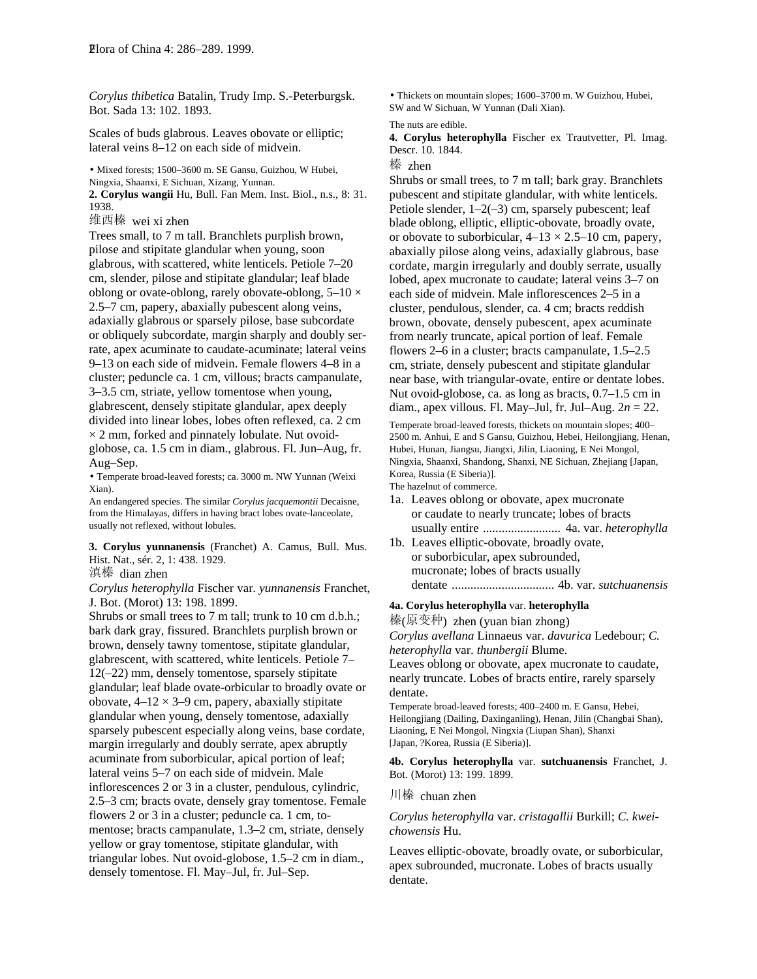*Corylus thibetica* Batalin, Trudy Imp. S.-Peterburgsk. Bot. Sada 13: 102. 1893.

Scales of buds glabrous. Leaves obovate or elliptic; lateral veins 8–12 on each side of midvein.

• Mixed forests; 1500–3600 m. SE Gansu, Guizhou, W Hubei, Ningxia, Shaanxi, E Sichuan, Xizang, Yunnan.

**2. Corylus wangii** Hu, Bull. Fan Mem. Inst. Biol., n.s., 8: 31. 1938.

维西榛 wei xi zhen

Trees small, to 7 m tall. Branchlets purplish brown, pilose and stipitate glandular when young, soon glabrous, with scattered, white lenticels. Petiole 7–20 cm, slender, pilose and stipitate glandular; leaf blade oblong or ovate-oblong, rarely obovate-oblong,  $5-10 \times$ 2.5–7 cm, papery, abaxially pubescent along veins, adaxially glabrous or sparsely pilose, base subcordate or obliquely subcordate, margin sharply and doubly serrate, apex acuminate to caudate-acuminate; lateral veins 9–13 on each side of midvein. Female flowers 4–8 in a cluster; peduncle ca. 1 cm, villous; bracts campanulate, 3–3.5 cm, striate, yellow tomentose when young, glabrescent, densely stipitate glandular, apex deeply divided into linear lobes, lobes often reflexed, ca. 2 cm  $\times$  2 mm, forked and pinnately lobulate. Nut ovoidglobose, ca. 1.5 cm in diam., glabrous. Fl. Jun–Aug, fr. Aug–Sep.

• Temperate broad-leaved forests; ca. 3000 m. NW Yunnan (Weixi Xian).

An endangered species. The similar *Corylus jacquemontii* Decaisne, from the Himalayas, differs in having bract lobes ovate-lanceolate, usually not reflexed, without lobules.

**3. Corylus yunnanensis** (Franchet) A. Camus, Bull. Mus. Hist. Nat., sér. 2, 1: 438. 1929.

滇榛 dian zhen

*Corylus heterophylla* Fischer var. *yunnanensis* Franchet, J. Bot. (Morot) 13: 198. 1899.

Shrubs or small trees to 7 m tall; trunk to 10 cm d.b.h.; bark dark gray, fissured. Branchlets purplish brown or brown, densely tawny tomentose, stipitate glandular, glabrescent, with scattered, white lenticels. Petiole 7– 12(–22) mm, densely tomentose, sparsely stipitate glandular; leaf blade ovate-orbicular to broadly ovate or obovate,  $4-12 \times 3-9$  cm, papery, abaxially stipitate glandular when young, densely tomentose, adaxially sparsely pubescent especially along veins, base cordate, margin irregularly and doubly serrate, apex abruptly acuminate from suborbicular, apical portion of leaf; lateral veins 5–7 on each side of midvein. Male inflorescences 2 or 3 in a cluster, pendulous, cylindric, 2.5–3 cm; bracts ovate, densely gray tomentose. Female flowers 2 or 3 in a cluster; peduncle ca. 1 cm, tomentose; bracts campanulate, 1.3–2 cm, striate, densely yellow or gray tomentose, stipitate glandular, with triangular lobes. Nut ovoid-globose, 1.5–2 cm in diam., densely tomentose. Fl. May–Jul, fr. Jul–Sep.

• Thickets on mountain slopes; 1600–3700 m. W Guizhou, Hubei, SW and W Sichuan, W Yunnan (Dali Xian).

#### The nuts are edible.

**4. Corylus heterophylla** Fischer ex Trautvetter, Pl. Imag. Descr. 10. 1844.

### 榛 zhen

Shrubs or small trees, to 7 m tall; bark gray. Branchlets pubescent and stipitate glandular, with white lenticels. Petiole slender,  $1-2(-3)$  cm, sparsely pubescent; leaf blade oblong, elliptic, elliptic-obovate, broadly ovate, or obovate to suborbicular,  $4-13 \times 2.5-10$  cm, papery, abaxially pilose along veins, adaxially glabrous, base cordate, margin irregularly and doubly serrate, usually lobed, apex mucronate to caudate; lateral veins 3–7 on each side of midvein. Male inflorescences 2–5 in a cluster, pendulous, slender, ca. 4 cm; bracts reddish brown, obovate, densely pubescent, apex acuminate from nearly truncate, apical portion of leaf. Female flowers 2–6 in a cluster; bracts campanulate, 1.5–2.5 cm, striate, densely pubescent and stipitate glandular near base, with triangular-ovate, entire or dentate lobes. Nut ovoid-globose, ca. as long as bracts, 0.7–1.5 cm in diam., apex villous. Fl. May–Jul, fr. Jul–Aug. 2*n* = 22.

Temperate broad-leaved forests, thickets on mountain slopes; 400– 2500 m. Anhui, E and S Gansu, Guizhou, Hebei, Heilongjiang, Henan, Hubei, Hunan, Jiangsu, Jiangxi, Jilin, Liaoning, E Nei Mongol, Ningxia, Shaanxi, Shandong, Shanxi, NE Sichuan, Zhejiang [Japan, Korea, Russia (E Siberia)].

The hazelnut of commerce.

- 1a. Leaves oblong or obovate, apex mucronate or caudate to nearly truncate; lobes of bracts usually entire ......................... 4a. var. *heterophylla*
- 1b. Leaves elliptic-obovate, broadly ovate, or suborbicular, apex subrounded, mucronate; lobes of bracts usually dentate ................................. 4b. var. *sutchuanensis*

## **4a. Corylus heterophylla** var. **heterophylla**

榛(原变种) zhen (yuan bian zhong)

*Corylus avellana* Linnaeus var. *davurica* Ledebour; *C. heterophylla* var. *thunbergii* Blume.

Leaves oblong or obovate, apex mucronate to caudate, nearly truncate. Lobes of bracts entire, rarely sparsely dentate.

Temperate broad-leaved forests; 400–2400 m. E Gansu, Hebei, Heilongjiang (Dailing, Daxinganling), Henan, Jilin (Changbai Shan), Liaoning, E Nei Mongol, Ningxia (Liupan Shan), Shanxi [Japan, ?Korea, Russia (E Siberia)].

**4b. Corylus heterophylla** var. **sutchuanensis** Franchet, J. Bot. (Morot) 13: 199. 1899.

# 川榛 chuan zhen

*Corylus heterophylla* var. *cristagallii* Burkill; *C. kweichowensis* Hu.

Leaves elliptic-obovate, broadly ovate, or suborbicular, apex subrounded, mucronate. Lobes of bracts usually dentate.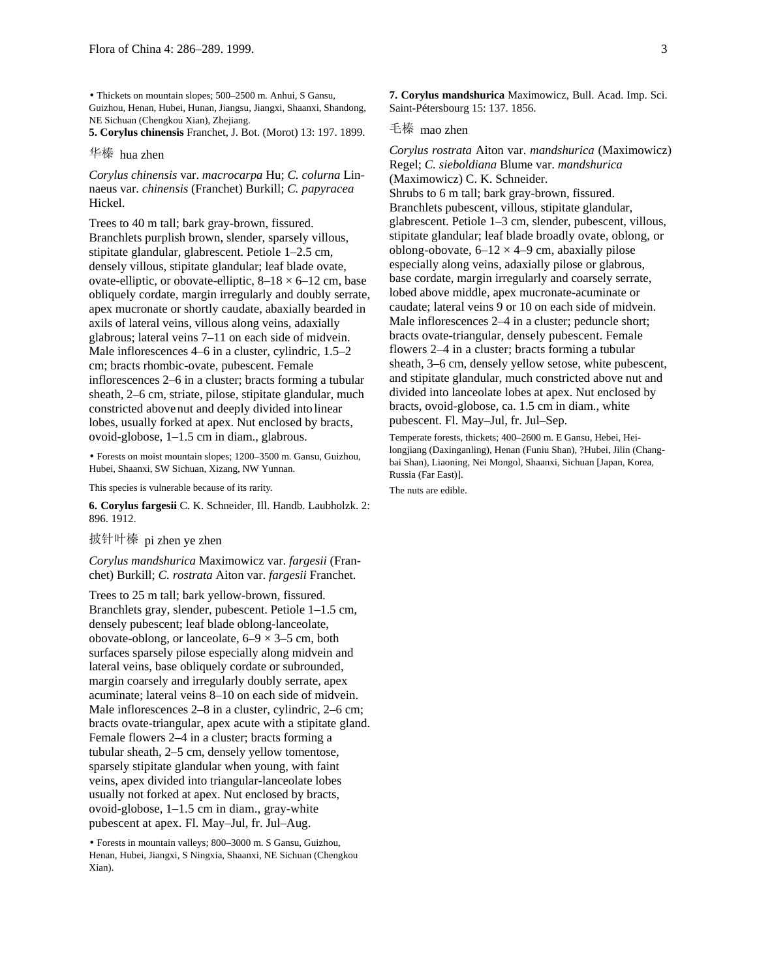• Thickets on mountain slopes; 500–2500 m. Anhui, S Gansu, Guizhou, Henan, Hubei, Hunan, Jiangsu, Jiangxi, Shaanxi, Shandong, NE Sichuan (Chengkou Xian), Zhejiang.

**5. Corylus chinensis** Franchet, J. Bot. (Morot) 13: 197. 1899.

## 华榛 hua zhen

*Corylus chinensis* var. *macrocarpa* Hu; *C. colurna* Linnaeus var. *chinensis* (Franchet) Burkill; *C. papyracea* Hickel.

Trees to 40 m tall; bark gray-brown, fissured. Branchlets purplish brown, slender, sparsely villous, stipitate glandular, glabrescent. Petiole 1–2.5 cm, densely villous, stipitate glandular; leaf blade ovate, ovate-elliptic, or obovate-elliptic,  $8-18 \times 6-12$  cm, base obliquely cordate, margin irregularly and doubly serrate, apex mucronate or shortly caudate, abaxially bearded in axils of lateral veins, villous along veins, adaxially glabrous; lateral veins 7–11 on each side of midvein. Male inflorescences 4–6 in a cluster, cylindric, 1.5–2 cm; bracts rhombic-ovate, pubescent. Female inflorescences 2–6 in a cluster; bracts forming a tubular sheath, 2–6 cm, striate, pilose, stipitate glandular, much constricted abovenut and deeply divided into linear lobes, usually forked at apex. Nut enclosed by bracts, ovoid-globose, 1–1.5 cm in diam., glabrous.

• Forests on moist mountain slopes; 1200–3500 m. Gansu, Guizhou, Hubei, Shaanxi, SW Sichuan, Xizang, NW Yunnan.

This species is vulnerable because of its rarity.

**6. Corylus fargesii** C. K. Schneider, Ill. Handb. Laubholzk. 2: 896. 1912.

# 披针叶榛 pi zhen ye zhen

*Corylus mandshurica* Maximowicz var. *fargesii* (Franchet) Burkill; *C. rostrata* Aiton var. *fargesii* Franchet.

Trees to 25 m tall; bark yellow-brown, fissured. Branchlets gray, slender, pubescent. Petiole 1–1.5 cm, densely pubescent; leaf blade oblong-lanceolate, obovate-oblong, or lanceolate,  $6-9 \times 3-5$  cm, both surfaces sparsely pilose especially along midvein and lateral veins, base obliquely cordate or subrounded, margin coarsely and irregularly doubly serrate, apex acuminate; lateral veins 8–10 on each side of midvein. Male inflorescences 2–8 in a cluster, cylindric, 2–6 cm; bracts ovate-triangular, apex acute with a stipitate gland. Female flowers 2–4 in a cluster; bracts forming a tubular sheath, 2–5 cm, densely yellow tomentose, sparsely stipitate glandular when young, with faint veins, apex divided into triangular-lanceolate lobes usually not forked at apex. Nut enclosed by bracts, ovoid-globose, 1–1.5 cm in diam., gray-white pubescent at apex. Fl. May–Jul, fr. Jul–Aug.

• Forests in mountain valleys; 800–3000 m. S Gansu, Guizhou, Henan, Hubei, Jiangxi, S Ningxia, Shaanxi, NE Sichuan (Chengkou Xian).

**7. Corylus mandshurica** Maximowicz, Bull. Acad. Imp. Sci. Saint-Pétersbourg 15: 137. 1856.

### 毛榛 mao zhen

*Corylus rostrata* Aiton var. *mandshurica* (Maximowicz) Regel; *C. sieboldiana* Blume var. *mandshurica* (Maximowicz) C. K. Schneider. Shrubs to 6 m tall; bark gray-brown, fissured. Branchlets pubescent, villous, stipitate glandular, glabrescent. Petiole 1–3 cm, slender, pubescent, villous, stipitate glandular; leaf blade broadly ovate, oblong, or oblong-obovate,  $6-12 \times 4-9$  cm, abaxially pilose especially along veins, adaxially pilose or glabrous, base cordate, margin irregularly and coarsely serrate, lobed above middle, apex mucronate-acuminate or caudate; lateral veins 9 or 10 on each side of midvein. Male inflorescences 2–4 in a cluster; peduncle short; bracts ovate-triangular, densely pubescent. Female flowers 2–4 in a cluster; bracts forming a tubular sheath, 3–6 cm, densely yellow setose, white pubescent, and stipitate glandular, much constricted above nut and divided into lanceolate lobes at apex. Nut enclosed by bracts, ovoid-globose, ca. 1.5 cm in diam., white pubescent. Fl. May–Jul, fr. Jul–Sep.

Temperate forests, thickets; 400–2600 m. E Gansu, Hebei, Heilongjiang (Daxinganling), Henan (Funiu Shan), ?Hubei, Jilin (Changbai Shan), Liaoning, Nei Mongol, Shaanxi, Sichuan [Japan, Korea, Russia (Far East)].

The nuts are edible.